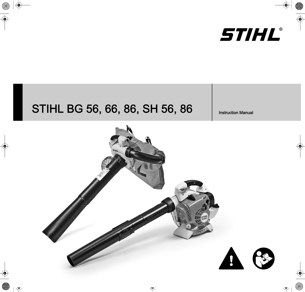

# STIHL BG 56, 66, 86, SH 56, 86 | Instruction Manual

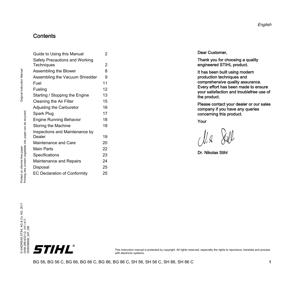## **Contents**

| Safety Precautions and Working      |    |
|-------------------------------------|----|
| Techniques                          | 2  |
| Assembling the Blower               | 8  |
| Assembling the Vacuum Shredder      | 9  |
| Fuel                                | 11 |
| Fueling                             | 12 |
| Starting / Stopping the Engine      | 13 |
| Cleaning the Air Filter             | 15 |
| Adjusting the Carburetor            | 16 |
| Spark Plug                          | 17 |
| <b>Engine Running Behavior</b>      | 18 |
| Storing the Machine                 | 19 |
| Inspections and Maintenance by      |    |
| Dealer                              | 19 |
| Maintenance and Care                | 20 |
| <b>Main Parts</b>                   | 22 |
| Specifications                      | 23 |
| Maintenance and Repairs             | 24 |
| Disposal                            | 25 |
| <b>EC Declaration of Conformity</b> | 25 |

[Guide to Using this Manual 2](#page-3-0)

Dear Customer,

Thank you for choosing a quality engineered STIHL product.

It has been built using modern production techniques and comprehensive quality assurance. Every effort has been made to ensure your satisfaction and troublefree use of the product.

Please contact your dealer or our sales company if you have any queries concerning this product.

Your

Xull

Dr. Nikolas Stihl

Printed on chlorine-free paper



This instruction manual is protected by copyright. All rights reserved, especially the rights to reproduce, translate and process with electronic systems.

BG 56, BG 56 C, BG 66, BG 66 C, BG 86, BG 86 C, SH 56, SH 56 C, SH 86, SH 86 C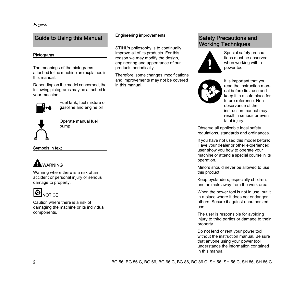## <span id="page-3-0"></span>Guide to Using this Manual

### Pictograms

The meanings of the pictograms attached to the machine are explained in this manual.

Depending on the model concerned, the following pictograms may be attached to your machine.



Fuel tank; fuel mixture of gasoline and engine oil



Operate manual fuel pump

Symbols in text

## WARNING

Warning where there is a risk of an accident or personal injury or serious damage to property.

## Ö **NOTICE**

Caution where there is a risk of damaging the machine or its individual components.

## Engineering improvements

STIHL's philosophy is to continually improve all of its products. For this reason we may modify the design, engineering and appearance of our products periodically.

Therefore, some changes, modifications and improvements may not be covered in this manual.

## <span id="page-3-1"></span>Safety Precautions and Working Techniques



Special safety precautions must be observed when working with a power tool.



It is important that you read the instruction manual before first use and keep it in a safe place for future reference. Nonobservance of the instruction manual may result in serious or even fatal injury.

Observe all applicable local safety regulations, standards and ordinances.

If you have not used this model before: Have your dealer or other experienced user show you how to operate your machine or attend a special course in its operation.

Minors should never be allowed to use this product.

Keep bystanders, especially children, and animals away from the work area.

When the power tool is not in use, put it in a place where it does not endanger others. Secure it against unauthorized use.

The user is responsible for avoiding injury to third parties or damage to their property.

Do not lend or rent your power tool without the instruction manual. Be sure that anyone using your power tool understands the information contained in this manual.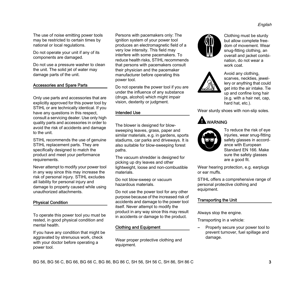The use of noise emitting power tools may be restricted to certain times by national or local regulations.

Do not operate your unit if any of its components are damaged.

Do not use a pressure washer to clean the unit. The solid jet of water may damage parts of the unit.

### Accessories and Spare Parts

Only use parts and accessories that are explicitly approved for this power tool by STIHL or are technically identical. If you have any questions in this respect, consult a servicing dealer. Use only high quality parts and accessories in order to avoid the risk of accidents and damage to the unit.

STIHL recommends the use of genuine STIHL replacement parts. They are specifically designed to match the product and meet your performance requirements.

Never attempt to modify your power tool in any way since this may increase the risk of personal injury. STIHL excludes all liability for personal injury and damage to property caused while using unauthorized attachments.

## Physical Condition

To operate this power tool you must be rested, in good physical condition and mental health.

If you have any condition that might be aggravated by strenuous work, check with your doctor before operating a power tool.

Persons with pacemakers only: The ignition system of your power tool produces an electromagnetic field of a very low intensity. This field may interfere with some pacemakers. To reduce health risks, STIHL recommends that persons with pacemakers consult their physician and the pacemaker manufacturer before operating this power tool.

Do not operate the power tool if you are under the influence of any substance (drugs, alcohol) which might impair vision, dexterity or judgment.

### Intended Use

The blower is designed for blowsweeping leaves, grass, paper and similar materials, e.g. in gardens, sports stadiums, car parks and driveways. It is also suitable for blow-sweeping forest paths.

The vacuum shredder is designed for picking up dry leaves and other lightweight, loose and non-combustible materials.

Do not blow-sweep or vacuum hazardous materials.

Do not use the power tool for any other purpose because of the increased risk of accidents and damage to the power tool itself. Never attempt to modify the product in any way since this may result in accidents or damage to the product.

## Clothing and Equipment

Wear proper protective clothing and equipment.



Clothing must be sturdy but allow complete freedom of movement. Wear snug-fitting clothing, an overall and jacket combination, do not wear a work coat.



Avoid any clothing, scarves, neckties, jewellery or anything that could get into the air intake. Tie up and confine long hair (e.g. with a hair net, cap, hard hat, etc.).

Wear sturdy shoes with non-slip soles.

## A WARNING



To reduce the risk of eye injuries, wear snug-fitting safety glasses in accordance with European Standard EN 166. Make sure the safety glasses are a good fit.

Wear hearing protection, e.g. earplugs or ear muffs.

STIHL offers a comprehensive range of personal protective clothing and equipment.

## Transporting the Unit

Always stop the engine.

Transporting in a vehicle:

**–** Properly secure your power tool to prevent turnover, fuel spillage and damage.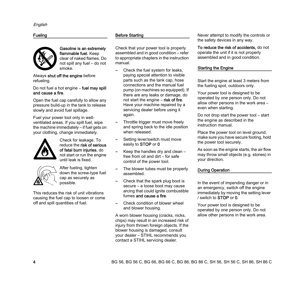## Fueling



Gasoline is an extremely flammable fuel. Keep clear of naked flames. Do not spill any fuel – do not smoke.

Always shut off the engine before refueling.

#### Do not fuel a hot engine – fuel may spill and cause a fire.

Open the fuel cap carefully to allow any pressure build-up in the tank to release slowly and avoid fuel spillage.

Fuel your power tool only in wellventilated areas. If you spill fuel, wipe the machine immediately – if fuel gets on your clothing, change immediately.



Check for leakage. To reduce the risk of serious of fatal burn injuries, do not start or run the engine until leak is fixed.



After fueling, tighten down the screw-type fuel cap as securely as possible.

This reduces the risk of unit vibrations causing the fuel cap to loosen or come off and spill quantities of fuel.

## Before Starting

Check that your power tool is properly assembled and in good condition – refer to appropriate chapters in the instruction manual.

- **–** Check the fuel system for leaks, paying special attention to visible parts such as the tank cap, hose connections and the manual fuel pump (on machines so equipped). If there are any leaks or damage, do not start the engine – risk of fire. Have your machine repaired by a servicing dealer before using it again.
- **–** Throttle trigger must move freely and spring back to the idle position when released.
- **–** Setting lever/switch must move easily to STOP or 0
- **–** Keep the handles dry and clean free from oil and dirt – for safe control of the power tool.
- **–** The blower tubes must be properly assembled.
- **–** Check that the spark plug boot is secure – a loose boot may cause arcing that could ignite combustible fumes and cause a fire.
- **–** Check condition of blower wheel and blower housing.

A worn blower housing (cracks, nicks, chips) may result in an increased risk of injury from thrown foreign objects. If the blower housing is damaged, consult your dealer – STIHL recommends you contact a STIHL servicing dealer.

Never attempt to modify the controls or the safety devices in any way.

To reduce the risk of accidents, do not operate the unit if it is not properly assembled and in good condition.

## Starting the Engine

Start the engine at least 3 meters from the fueling spot, outdoors only.

Your power tool is designed to be operated by one person only. Do not allow other persons in the work area – even when starting.

Do not drop start the power tool – start the engine as described in the instruction manual.

Place the power tool on level ground. make sure you have secure footing, hold the power tool securely.

As soon as the engine starts, the air flow may throw small objects (e.g. stones) in your direction.

## During Operation

In the event of impending danger or in an emergency, switch off the engine immediately by moving the setting lever / switch to STOP or 0.

Your power tool is designed to be operated by one person only. Do not allow other persons in the work area.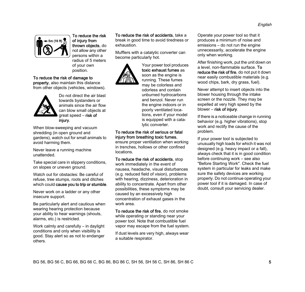

To reduce the risk of injury from thrown objects, do not allow any other persons within a radius of 5 meters of your own position.

#### To reduce the risk of damage to

property, also maintain this distance from other objects (vehicles, windows).



Do not direct the air blast towards bystanders or animals since the air flow can blow small objects at great speed – risk of injury.

When blow-sweeping and vacuum shredding (in open ground and gardens), watch out for small animals to avoid harming them.

Never leave a running machine unattended.

Take special care in slippery conditions, on slopes or uneven ground.

Watch out for obstacles: Be careful of refuse, tree stumps, roots and ditches which could cause you to trip or stumble.

Never work on a ladder or any other insecure support.

Be particularly alert and cautious when wearing hearing protection because your ability to hear warnings (shouts, alarms, etc.) is restricted.

Work calmly and carefully – in daylight conditions and only when visibility is good. Stay alert so as not to endanger others.

To reduce the risk of accidents, take a break in good time to avoid tiredness or exhaustion.

Mufflers with a catalytic converter can become particularly hot.



Your power tool produces toxic exhaust fumes as soon as the engine is running. These fumes may be colorless and odorless and contain unburned hydrocarbons and benzol. Never run the engine indoors or in poorly ventilated locations, even if your model is equipped with a catalytic converter.

## To reduce the risk of serious or fatal injury from breathing toxic fumes,

ensure proper ventilation when working in trenches, hollows or other confined locations.

To reduce the risk of accidents, stop

work immediately in the event of nausea, headache, visual disturbances (e.g. reduced field of vision), problems with hearing, dizziness, deterioration in ability to concentrate. Apart from other possibilities, these symptoms may be caused by an excessively high concentration of exhaust gases in the work area.

To reduce the risk of fire, do not smoke while operating or standing near your power tool. Note that combustible fuel vapor may escape from the fuel system.

If dust levels are very high, always wear a suitable respirator.

Operate your power tool so that it produces a minimum of noise and emissions – do not run the engine unnecessarily, accelerate the engine only when working.

After finishing work, put the unit down on a level, non-flammable surface. To reduce the risk of fire, do not put it down near easily combustible materials (e.g. wood chips, bark, dry grass, fuel).

Never attempt to insert objects into the blower housing through the intake screen or the nozzle. They may be expelled at very high speed by the blower – risk of injury.

If there is a noticeable change in running behavior (e.g. higher vibrations), stop work and rectify the cause of the problem.

If your power tool is subjected to unusually high loads for which it was not designed (e.g. heavy impact or a fall), always check that it is in good condition before continuing work – see also "Before Starting Work". Check the fuel system in particular for leaks and make sure the safety devices are working properly. Do not continue operating your power tool if it is damaged. In case of doubt, consult your servicing dealer.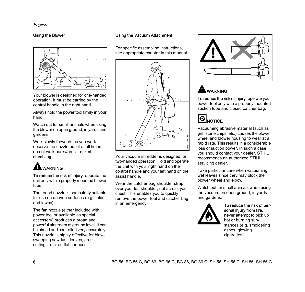## Using the Blower



Your blower is designed for one-handed operation. It must be carried by the control handle in the right hand.

Always hold the power tool firmly in your hand.

Watch out for small animals when using the blower on open ground, in yards and gardens.

Walk slowly forwards as you work – observe the nozzle outlet at all times – do not walk backwards – risk of stumbling.

## **A** WARNING

To reduce the risk of injury, operate the unit only with a properly mounted blower tube.

The round nozzle is particularly suitable for use on uneven surfaces (e.g. fields and lawns).

The fan nozzle (either included with power tool or available as special accessory) produces a broad and powerful airstream at ground level. It can be aimed and controlled very accurately. This nozzle is highly effective for blowsweeping sawdust, leaves, grass cuttings, etc. on flat surfaces.

## Using the Vacuum Attachment

For specific assembling instructions, see appropriate chapter in this manual.



Your vacuum shredder is designed for two-handed operation. Hold and operate the unit with your right hand on the control handle and your left hand on the assist handle.

Wear the catcher bag shoulder strap over your left shoulder, not across your chest. This enables you to quickly remove the power tool and catcher bag in an emergency.



## WARNING

To reduce the risk of injury, operate your power tool only with a properly mounted suction tube and closed catcher bag.



Vacuuming abrasive material (such as grit, stone chips, etc.) causes the blower wheel and blower housing to wear at a rapid rate. This results in a considerable loss of suction power. In such a case you should contact your dealer. STIHL recommends an authorized STIHL servicing dealer.

Take particular care when vacuuming wet leaves since they may block the blower wheel and elbow.

Watch out for small animals when using the vacuum on open ground, in yards and gardens.



### To reduce the risk of personal injury from fire.

never attempt to pick up hot or burning substances (e.g. smoldering ashes, glowing cigarettes).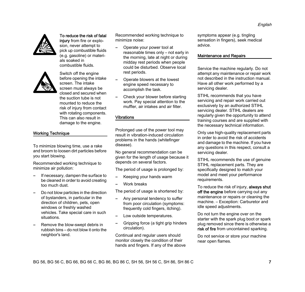

## To reduce the risk of fatal

injury from fire or explosion, never attempt to pick up combustible fluids (e.g. gasoline) or materials soaked in combustible fluids.



Switch off the engine before opening the intake screen. The intake screen must always be closed and secured when the suction tube is not mounted to reduce the risk of injury from contact with rotating components. This can also result in damage to the engine.

Working Technique

To minimize blowing time, use a rake and broom to loosen dirt particles before you start blowing.

Recommended working technique to minimize air pollution:

- **–** If necessary, dampen the surface to be cleaned in order to avoid creating too much dust.
- **–** Do not blow particles in the direction of bystanders, in particular in the direction of children, pets, open windows or freshly washed vehicles. Take special care in such situations.
- **–** Remove the blow-swept debris in rubbish bins – do not blow it onto the neighbor's land.

Recommended working technique to minimize noise:

- **–** Operate your power tool at reasonable times only – not early in the morning, late at night or during midday rest periods when people could be disturbed. Observe local rest periods.
- **–** Operate blowers at the lowest engine speed necessary to accomplish the task.
- **–** Check your blower before starting work. Pay special attention to the muffler, air intakes and air filter.

### Vibrations

Prolonged use of the power tool may result in vibration-induced circulation problems in the hands (whitefinger disease).

No general recommendation can be given for the length of usage because it depends on several factors.

The period of usage is prolonged by:

- **–** Keeping your hands warm
- **–** Work breaks

The period of usage is shortened by:

- **–** Any personal tendency to suffer from poor circulation (symptoms: frequently cold fingers, itching).
- **–** Low outside temperatures.
- **–** Gripping force (a tight grip hinders circulation).

Continual and regular users should monitor closely the condition of their hands and fingers. If any of the above

symptoms appear (e.g. tingling sensation in fingers), seek medical advice.

## Maintenance and Repairs

Service the machine regularly. Do not attempt any maintenance or repair work not described in the instruction manual. Have all other work performed by a servicing dealer.

STIHL recommends that you have servicing and repair work carried out exclusively by an authorized STIHL servicing dealer. STIHL dealers are regularly given the opportunity to attend training courses and are supplied with the necessary technical information.

Only use high-quality replacement parts in order to avoid the risk of accidents and damage to the machine. If you have any questions in this respect, consult a servicing dealer.

STIHL recommends the use of genuine STIHL replacement parts. They are specifically designed to match your model and meet your performance requirements.

To reduce the risk of injury, always shut off the engine before carrying out any maintenance or repairs or cleaning the machine. – Exception: Carburetor and idle speed adjustments.

Do not turn the engine over on the starter with the spark plug boot or spark plug removed since there is otherwise a risk of fire from uncontained sparking.

Do not service or store your machine near open flames.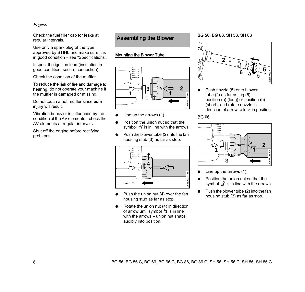## English

Check the fuel filler cap for leaks at regular intervals.

Use only a spark plug of the type approved by STIHL and make sure it is in good condition – see "Specifications".

Inspect the ignition lead (insulation in good condition, secure connection).

Check the condition of the muffler.

To reduce the risk of fire and damage to hearing, do not operate your machine if the muffler is damaged or missing.

Do not touch a hot muffler since burn injury will result.

Vibration behavior is influenced by the condition of the AV elements – check the AV elements at regular intervals.

Shut off the engine before rectifying problems.

## <span id="page-9-0"></span>Assembling the Blower

## Mounting the Blower Tube



- Line up the arrows  $(1)$ .
- Position the union nut so that the symbol  $\mathbf{f}$  is in line with the arrows.
- Push the blower tube (2) into the fan housing stub (3) as far as stop.



- $\bullet$  Push the union nut (4) over the fan housing stub as far as stop.
- Rotate the union nut (4) in direction of arrow until symbol  $\theta$  is in line with the arrows – union nut snaps audibly into position.

## BG 56, BG 86, SH 56, SH 86



Push nozzle (5) onto blower tube (2) as far as lug (6), position (a) (long) or position (b) (short), and rotate nozzle in direction of arrow to lock in position.

## BG 66



- Line up the arrows  $(1)$ .
- Position the union nut so that the symbol  $\mathfrak{g}^{\cap}$  is in line with the arrows.
- Push the blower tube (2) into the fan housing stub (3) as far as stop.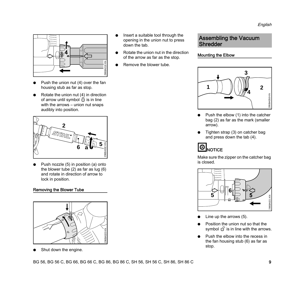

- Push the union nut  $(4)$  over the fan housing stub as far as stop.
- $\bullet$  Rotate the union nut (4) in direction of arrow until symbol  $\theta$  is in line with the arrows – union nut snaps audibly into position.



Push nozzle (5) in position (a) onto the blower tube (2) as far as lug (6) and rotate in direction of arrow to lock in position.

## Removing the Blower Tube



Shut down the engine.

- Insert a suitable tool through the opening in the union nut to press down the tab.
- Rotate the union nut in the direction of the arrow as far as the stop.
- Remove the blower tube.

## <span id="page-10-0"></span>Assembling the Vacuum Shredder

## Mounting the Elbow



- Push the elbow (1) into the catcher bag (2) as far as the mark (smaller arrow).
- Tighten strap (3) on catcher bag and press down the tab (4).



Make sure the zipper on the catcher bag is closed.



- Line up the arrows  $(5)$ .
- Position the union nut so that the symbol  $\mathbb{G}$  is in line with the arrows.
- Push the elbow into the recess in the fan housing stub (6) as far as stop.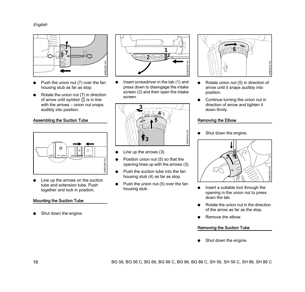English



- Push the union nut (7) over the fan housing stub as far as stop.
- Rotate the union nut  $(7)$  in direction of arrow until symbol  $\theta$  is in line with the arrows – union nut snaps audibly into position.

## Assembling the Suction Tube



Line up the arrows on the suction tube and extension tube. Push together and lock in position.

## Mounting the Suction Tube

Shut down the engine.



 $\bullet$  Insert screwdriver in the tab (1) and press down to disengage the intake screen (2) and then open the intake screen.



- $\bullet$  Line up the arrows (3).
- $\bullet$  Position union nut (5) so that the opening lines up with the arrows (3).
- $\bullet$  Push the suction tube into the fan housing stub (4) as far as stop.
- Push the union nut (5) over the fan housing stub.



- Rotate union nut (5) in direction of arrow until it snaps audibly into position.
- Continue turning the union nut in direction of arrow and tighten it down firmly.

## Removing the Elbow

Shut down the engine.



- Insert a suitable tool through the opening in the union nut to press down the tab.
- Rotate the union nut in the direction of the arrow as far as the stop.
- Remove the elbow.

## Removing the Suction Tube

Shut down the engine.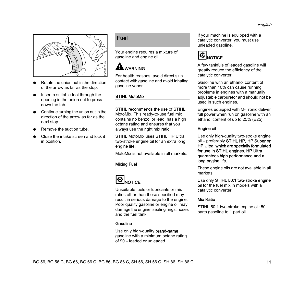

- Rotate the union nut in the direction of the arrow as far as the stop.
- $\bullet$  Insert a suitable tool through the opening in the union nut to press down the tab.
- $\bullet$  Continue turning the union nut in the direction of the arrow as far as the next stop.
- Remove the suction tube.
- Close the intake screen and lock it in position.

## <span id="page-12-0"></span>Fuel

Your engine requires a mixture of gasoline and engine oil.

## WARNING

For health reasons, avoid direct skin contact with gasoline and avoid inhaling gasoline vapor.

## STIHL MotoMix

STIHL recommends the use of STIHL MotoMix. This ready-to-use fuel mix contains no benzol or lead, has a high octane rating and ensures that you always use the right mix ratio.

STIHL MotoMix uses STIHL HP Ultra two-stroke engine oil for an extra long engine life.

MotoMix is not available in all markets.

## Mixing Fuel



Unsuitable fuels or lubricants or mix ratios other than those specified may result in serious damage to the engine. Poor quality gasoline or engine oil may damage the engine, sealing rings, hoses and the fuel tank.

## Gasoline

Use only high-quality brand-name gasoline with a minimum octane rating of 90 – leaded or unleaded.

If your machine is equipped with a catalytic converter, you must use unleaded gasoline.



A few tankfuls of leaded gasoline will greatly reduce the efficiency of the catalytic converter.

Gasoline with an ethanol content of more than 10% can cause running problems in engines with a manually adjustable carburetor and should not be used in such engines.

Engines equipped with M-Tronic deliver full power when run on gasoline with an ethanol content of up to 25% (E25).

## Engine oil

Use only high-quality two-stroke engine oil – preferably STIHL HP, HP Super or HP Ultra, which are specially formulated for use in STIHL engines. HP Ultra guarantees high performance and a long engine life.

These engine oils are not available in all markets.

Use only STIHL 50:1 two-stroke engine oil for the fuel mix in models with a catalytic converter.

## Mix Ratio

STIHL 50:1 two-stroke engine oil: 50 parts gasoline to 1 part oil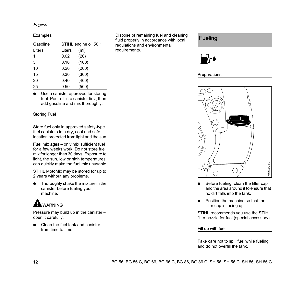## English

## Examples

| Gasoline |        | STIHL engine oil 50:1 |
|----------|--------|-----------------------|
| Liters   | Liters | (m <sub>l</sub> )     |
| 1        | 0.02   | (20)                  |
| 5        | 0.10   | (100)                 |
| 10       | 0.20   | (200)                 |
| 15       | 0.30   | (300)                 |
| 20       | 0.40   | (400)                 |
| 25       | 0.50   | (500)                 |

Use a canister approved for storing fuel. Pour oil into canister first, then add gasoline and mix thoroughly.

## Storing Fuel

Store fuel only in approved safety-type fuel canisters in a dry, cool and safe location protected from light and the sun.

Fuel mix ages – only mix sufficient fuel for a few weeks work. Do not store fuel mix for longer than 30 days. Exposure to light, the sun, low or high temperatures can quickly make the fuel mix unusable.

STIHL MotoMix may be stored for up to 2 years without any problems.

Thoroughly shake the mixture in the canister before fueling your machine.

## WARNING

Pressure may build up in the canister – open it carefully.

Clean the fuel tank and canister from time to time.

Dispose of remaining fuel and cleaning fluid properly in accordance with local regulations and environmental requirements.

## <span id="page-13-0"></span>Fueling



## **Preparations**



- $\bullet$  Before fueling, clean the filler cap and the area around it to ensure that no dirt falls into the tank.
- $\bullet$  Position the machine so that the filler cap is facing up.

STIHL recommends you use the STIHL filler nozzle for fuel (special accessory).

## Fill up with fuel

Take care not to spill fuel while fueling and do not overfill the tank.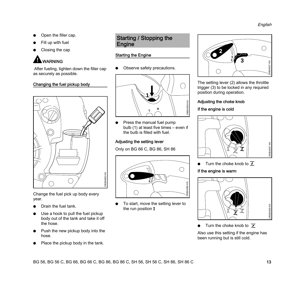- Open the filler cap.
- Fill up with fuel
- Closing the cap

## WARNING

 After fueling, tighten down the filler cap as securely as possible.

## Changing the fuel pickup body



Change the fuel pick up body every year.

- Drain the fuel tank.
- $\bullet$  Use a hook to pull the fuel pickup body out of the tank and take it off the hose.
- Push the new pickup body into the hose.
- Place the pickup body in the tank.

## <span id="page-14-0"></span>Starting / Stopping the **Engine**

## Starting the Engine

Observe safety precautions.



 $\bullet$  Press the manual fuel pump bulb (1) at least five times – even if the bulb is filled with fuel.

## Adjusting the setting lever

Only on BG 66 C, BG 86, SH 86



 $\bullet$  To start, move the setting lever to the run position  $I$ 



The setting lever (2) allows the throttle trigger (3) to be locked in any required position during operation.

## Adjusting the choke knob

## If the engine is cold



 $\bullet$  Turn the choke knob to  $\overline{f}$ 

## If the engine is warm



Turn the choke knob to  $\geq$ 

Also use this setting if the engine has been running but is still cold.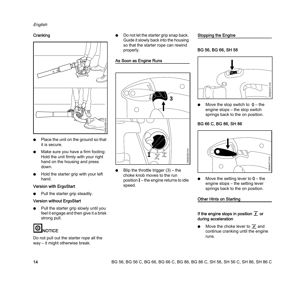## **Cranking**



- Place the unit on the ground so that it is secure.
- $\bullet$  Make sure you have a firm footing: Hold the unit firmly with your right hand on the housing and press down.
- Hold the starter grip with your left hand.

## Version with ErgoStart

Pull the starter grip steadily.

## Version without ErgoStart

Pull the starter grip slowly until you feel it engage and then give it a brisk strong pull.



Do not pull out the starter rope all the way – it might otherwise break.

Do not let the starter grip snap back. Guide it slowly back into the housing so that the starter rope can rewind properly.

## As Soon as Engine Runs



Blip the throttle trigger  $(3)$  – the choke knob moves to the run position  $I$  – the engine returns to idle speed.

## Stopping the Engine

## BG 56, BG 66, SH 56



Move the stop switch to  $0$  – the engine stops – the stop switch springs back to the on position.

## BG 66 C, BG 86, SH 86



Move the setting lever to  $0$  – the engine stops – the setting lever springs back to the on position.

## Other Hints on Starting

## If the engine stops in position  $\overline{\mathcal{I}}$  or during acceleration

Move the choke lever to  $\geq$  and continue cranking until the engine runs.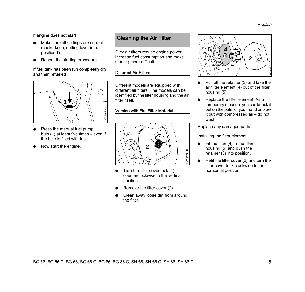## If engine does not start

- Make sure all settings are correct (choke knob, setting lever in run position  $I$ ).
- Repeat the starting procedure.

## If fuel tank has been run completely dry and then refueled



- $\bullet$  Press the manual fuel pump bulb (1) at least five times – even if the bulb is filled with fuel.
- Now start the engine.

## <span id="page-16-0"></span>Cleaning the Air Filter

Dirty air filters reduce engine power, increase fuel consumption and make starting more difficult.

## Different Air Filters

Different models are equipped with different air filters. The models can be identified by the filter housing and the air filter itself.

## Version with Flat Filter Material



- $\bullet$  Turn the filter cover lock (1) counterclockwise to the vertical position.
- Remove the filter cover (2).
- Clean away loose dirt from around the filter.



- $\bullet$  Pull off the retainer (3) and take the air filter element (4) out of the filter housing (5).
- Replace the filter element. As a temporary measure you can knock it out on the palm of your hand or blow it out with compressed air – do not wash.

Replace any damaged parts.

## Installing the filter element

- Fit the filter  $(4)$  in the filter housing (5) and push the retainer (3) into position.
- $\bullet$  Refit the filter cover (2) and turn the filter cover lock clockwise to the horizontal position.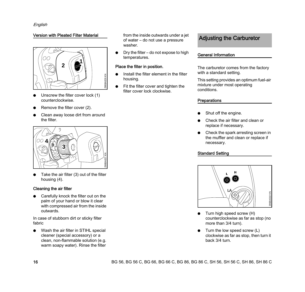## Version with Pleated Filter Material



- Unscrew the filter cover lock (1) counterclockwise.
- Remove the filter cover (2).
- Clean away loose dirt from around the filter.



Take the air filter (3) out of the filter housing (4).

### Cleaning the air filter

 $\bullet$  Carefully knock the filter out on the palm of your hand or blow it clear with compressed air from the inside outwards.

In case of stubborn dirt or sticky filter fabric

• Wash the air filter in STIHL special cleaner (special accessory) or a clean, non-flammable solution (e.g. warm soapy water). Rinse the filter

from the inside outwards under a jet of water – do not use a pressure washer.

 $\bullet$  Dry the filter – do not expose to high temperatures.

### Place the filter in position.

- $\bullet$  Install the filter element in the filter housing.
- $\bullet$  Fit the filter cover and tighten the filter cover lock clockwise.

## <span id="page-17-0"></span>Adjusting the Carburetor

## General Information

The carburetor comes from the factory with a standard setting.

This setting provides an optimum fuel-air mixture under most operating conditions.

## **Preparations**

- Shut off the engine.
- Check the air filter and clean or replace if necessary.
- $\bullet$  Check the spark arresting screen in the muffler and clean or replace if necessary.

## Standard Setting



- $\bullet$  Turn high speed screw (H) counterclockwise as far as stop (no more than 3/4 turn).
- $\bullet$  Turn the low speed screw (L) clockwise as far as stop, then turn it back 3/4 turn.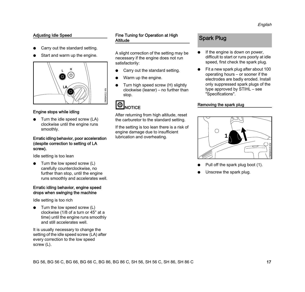## Adjusting Idle Speed

- Carry out the standard setting.
- Start and warm up the engine.



## Engine stops while idling

Turn the idle speed screw (LA) clockwise until the engine runs smoothly.

#### Erratic idling behavior, poor acceleration (despite correction to setting of LA screw).

Idle setting is too lean

Turn the low speed screw  $(L)$ carefully counterclockwise, no further than stop, until the engine runs smoothly and accelerates well.

#### Erratic idling behavior, engine speed drops when swinging the machine

Idle setting is too rich

Turn the low speed screw  $(L)$ clockwise (1/8 of a turn or 45° at a time) until the engine runs smoothly and still accelerates well.

It is usually necessary to change the setting of the idle speed screw (LA) after every correction to the low speed screw (L).

Fine Tuning for Operation at High **Altitude** 

A slight correction of the setting may be necessary if the engine does not run satisfactorily:

- Carry out the standard setting.
- Warm up the engine.
- Turn high speed screw (H) slightly clockwise (leaner) – no further than stop.

## **D**<br>NOTICE

After returning from high altitude, reset the carburetor to the standard setting.

If the setting is too lean there is a risk of engine damage due to insufficient lubrication and overheating.

## <span id="page-18-0"></span>Spark Plug

- If the engine is down on power, difficult to start or runs poorly at idle speed, first check the spark plug.
- Fit a new spark plug after about 100 operating hours – or sooner if the electrodes are badly eroded. Install only suppressed spark plugs of the type approved by STIHL – see "Specifications".

## Removing the spark plug



- Pull off the spark plug boot (1).
- Unscrew the spark plug.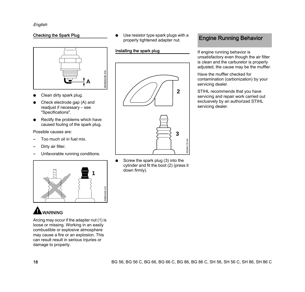## Checking the Spark Plug



- Clean dirty spark plug.
- Check electrode gap (A) and readjust if necessary – see "Specifications".
- Rectify the problems which have caused fouling of the spark plug.

Possible causes are:

- **–** Too much oil in fuel mix.
- **–** Dirty air filter.
- **–** Unfavorable running conditions.





Arcing may occur if the adapter nut (1) is loose or missing. Working in an easily combustible or explosive atmosphere may cause a fire or an explosion. This can result result in serious injuries or damage to property.

Use resistor type spark plugs with a properly tightened adapter nut.

## Installing the spark plug



Screw the spark plug (3) into the cylinder and fit the boot (2) (press it down firmly).

## <span id="page-19-0"></span>Engine Running Behavior

If engine running behavior is unsatisfactory even though the air filter is clean and the carburetor is properly adjusted, the cause may be the muffler.

Have the muffler checked for contamination (carbonization) by your servicing dealer.

STIHL recommends that you have servicing and repair work carried out exclusively by an authorized STIHL servicing dealer.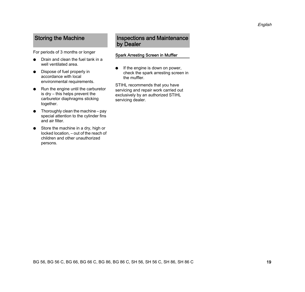For periods of 3 months or longer

- $\bullet$  Drain and clean the fuel tank in a well ventilated area.
- $\bullet$  Dispose of fuel properly in accordance with local environmental requirements.
- $\bullet$  Run the engine until the carburetor is dry – this helps prevent the carburetor diaphragms sticking together.
- $\bullet$  Thoroughly clean the machine pay special attention to the cylinder fins and air filter.
- $\bullet$  Store the machine in a dry, high or locked location, – out of the reach of children and other unauthorized persons.

## <span id="page-20-0"></span>Storing the Machine **Inspections and Maintenance** by Dealer

## <span id="page-20-1"></span>Spark Arresting Screen in Muffler

 $\bullet$  If the engine is down on power, check the spark arresting screen in the muffler.

STIHL recommends that you have servicing and repair work carried out exclusively by an authorized STIHL servicing dealer.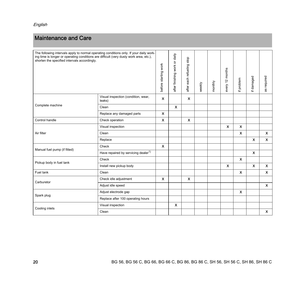## <span id="page-21-0"></span>Maintenance and Care

| The following intervals apply to normal operating conditions only. If your daily work-<br>ing time is longer or operating conditions are difficult (very dusty work area, etc.),<br>shorten the specified intervals accordingly. |                                                 | before starting work      | after finishing work or daily | after each refueling stop | weekly | monthly | every 12 months           | if problem                | if damaged                | as required               |
|----------------------------------------------------------------------------------------------------------------------------------------------------------------------------------------------------------------------------------|-------------------------------------------------|---------------------------|-------------------------------|---------------------------|--------|---------|---------------------------|---------------------------|---------------------------|---------------------------|
|                                                                                                                                                                                                                                  | Visual inspection (condition, wear,<br>leaks)   | $\boldsymbol{\mathsf{x}}$ |                               | X                         |        |         |                           |                           |                           |                           |
| Complete machine                                                                                                                                                                                                                 | Clean                                           |                           | $\boldsymbol{\mathsf{x}}$     |                           |        |         |                           |                           |                           |                           |
|                                                                                                                                                                                                                                  | Replace any damaged parts                       | $\boldsymbol{\mathsf{x}}$ |                               |                           |        |         |                           |                           |                           |                           |
| Control handle                                                                                                                                                                                                                   | Check operation                                 | $\boldsymbol{\mathsf{x}}$ |                               | $\boldsymbol{\mathsf{x}}$ |        |         |                           |                           |                           |                           |
|                                                                                                                                                                                                                                  | Visual inspection                               |                           |                               |                           |        |         | $\boldsymbol{\mathsf{x}}$ | $\boldsymbol{\mathsf{x}}$ |                           |                           |
| Air filter                                                                                                                                                                                                                       | Clean                                           |                           |                               |                           |        |         |                           | $\boldsymbol{\mathsf{x}}$ |                           | $\mathsf{x}$              |
|                                                                                                                                                                                                                                  | Replace                                         |                           |                               |                           |        |         |                           |                           | $\boldsymbol{\mathsf{x}}$ | $\mathsf{x}$              |
| Manual fuel pump (if fitted)                                                                                                                                                                                                     | Check                                           | $\boldsymbol{\mathsf{x}}$ |                               |                           |        |         |                           |                           |                           |                           |
|                                                                                                                                                                                                                                  | Have repaired by servicing dealer <sup>1)</sup> |                           |                               |                           |        |         |                           |                           | $\boldsymbol{\mathsf{x}}$ |                           |
| Pickup body in fuel tank                                                                                                                                                                                                         | Check                                           |                           |                               |                           |        |         |                           | $\boldsymbol{\mathsf{x}}$ |                           |                           |
|                                                                                                                                                                                                                                  | Install new pickup body                         |                           |                               |                           |        |         | $\boldsymbol{\mathsf{x}}$ |                           | $\boldsymbol{\mathsf{x}}$ | $\mathsf{x}$              |
| Fuel tank                                                                                                                                                                                                                        | Clean                                           |                           |                               |                           |        |         |                           | $\boldsymbol{\mathsf{x}}$ |                           | $\boldsymbol{\mathsf{x}}$ |
| Carburetor                                                                                                                                                                                                                       | Check idle adjustment                           | $\boldsymbol{\mathsf{x}}$ |                               | $\boldsymbol{\mathsf{x}}$ |        |         |                           |                           |                           |                           |
|                                                                                                                                                                                                                                  | Adjust idle speed                               |                           |                               |                           |        |         |                           |                           |                           | $\mathsf{x}$              |
|                                                                                                                                                                                                                                  | Adjust electrode gap                            |                           |                               |                           |        |         |                           | $\boldsymbol{\mathsf{x}}$ |                           |                           |
| Spark plug                                                                                                                                                                                                                       | Replace after 100 operating hours               |                           |                               |                           |        |         |                           |                           |                           |                           |
|                                                                                                                                                                                                                                  | Visual inspection                               |                           | $\boldsymbol{\mathsf{x}}$     |                           |        |         |                           |                           |                           |                           |
| Cooling inlets                                                                                                                                                                                                                   | Clean                                           |                           |                               |                           |        |         |                           |                           |                           | $\boldsymbol{\mathsf{x}}$ |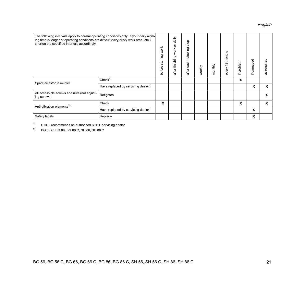## English

| The following intervals apply to normal operating conditions only. If your daily work-<br>ing time is longer or operating conditions are difficult (very dusty work area, etc.),<br>shorten the specified intervals accordingly. |                                                 | starting work<br>before | $d$ aily<br>after finishing work or | stop<br>refueling<br>each<br>after | weekly | monthly | 12 months<br>every | problem<br>$\pm$ | damaged<br>$\pm$          | as required               |
|----------------------------------------------------------------------------------------------------------------------------------------------------------------------------------------------------------------------------------|-------------------------------------------------|-------------------------|-------------------------------------|------------------------------------|--------|---------|--------------------|------------------|---------------------------|---------------------------|
| Spark arrestor in muffler                                                                                                                                                                                                        | Check <sup>1</sup>                              |                         |                                     |                                    |        |         |                    | X                |                           |                           |
|                                                                                                                                                                                                                                  | Have replaced by servicing dealer <sup>1)</sup> |                         |                                     |                                    |        |         |                    |                  | X                         | $\boldsymbol{\mathsf{x}}$ |
| All accessible screws and nuts (not adjust-<br>ing screws)                                                                                                                                                                       | Retighten                                       |                         |                                     |                                    |        |         |                    |                  |                           | X                         |
| Anti-vibration elements <sup>2)</sup>                                                                                                                                                                                            | Check                                           | x                       |                                     |                                    |        |         |                    | X                |                           | $\boldsymbol{\mathsf{x}}$ |
| Have replaced by servicing dealer <sup>1)</sup>                                                                                                                                                                                  |                                                 |                         |                                     |                                    |        |         |                    |                  | $\boldsymbol{\mathsf{x}}$ |                           |
| Safety labels                                                                                                                                                                                                                    | Replace                                         |                         |                                     |                                    |        |         |                    |                  | X                         |                           |

1) STIHL recommends an authorized STIHL servicing dealer

2) BG 66 C, BG 86, BG 86 C, SH 86, SH 86 C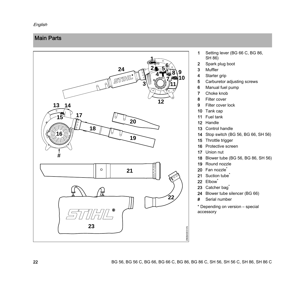## <span id="page-23-0"></span>Main Parts



- 1 Setting lever (BG 66 C, BG 86, SH 86)
- Spark plug boot
- Muffler
- 4 Starter grip
- Carburetor adjusting screws
- Manual fuel pump
- Choke knob
- Filter cover
- Filter cover lock
- Tank cap
- Fuel tank
- Handle
- Control handle
- Stop switch (BG 56, BG 66, SH 56)
- 15 Throttle trigger
- Protective screen
- Union nut
- Blower tube (BG 56, BG 86, SH 56)
- 19 Round nozzle
- 20 Fan nozzle<sup>\*</sup>
- 21 Suction tube
- 22 Elbow<sup>\*</sup>
- 23 Catcher bag<sup>\*</sup>
- 24 Blower tube silencer (BG 66)
- # Serial number

\* Depending on version – special accessory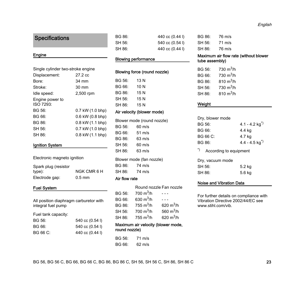## <span id="page-24-0"></span>**Specifications**

#### Engine

| Single cylinder two-stroke engine |                  |  |
|-----------------------------------|------------------|--|
| Displacement:                     | 27.2 cc          |  |
| Bore:                             | 34 mm            |  |
| Stroke:                           | $30 \text{ mm}$  |  |
| Idle speed:                       | 2,500 rpm        |  |
| Engine power to<br>ISO 7293:      |                  |  |
| BG 56:                            | 0.7 kW (1.0 bhp) |  |
| BG 66:                            | 0.6 kW (0.8 bhp) |  |
| BG 86:                            | 0.8 kW (1.1 bhp) |  |
| SH 56:                            | 0.7 kW (1.0 bhp) |  |
| SH 86:                            | 0.8 kW (1.1 bhp) |  |

#### Ignition System

Electronic magneto ignition

| Spark plug (resistor |             |
|----------------------|-------------|
| type):               | NGK CMR 6 H |
| Electrode gap:       | $0.5$ mm    |

#### Fuel System

All position diaphragm carburetor with integral fuel pump

Fuel tank capacity:

| BG 56:   | 540 cc $(0.54)$ |
|----------|-----------------|
| BG 66:   | 540 cc $(0.54)$ |
| BG 66 C: | 440 cc (0.44 l) |

| BG 86: | 440 cc (0.44 l) |
|--------|-----------------|
| SH 56: | 540 cc (0.54 l) |
| SH 86: | 440 cc (0.44 l) |

## Blowing performance

#### Blowing force (round nozzle)

|        | امممع ممينيها والروائع والمتروزي |
|--------|----------------------------------|
| SH 86: | 15 N                             |
| SH 56: | 15 N                             |
| BG 86: | 15 N                             |
| BG 66: | 10 N                             |
| BG 56: | 13 N                             |
|        |                                  |

#### Air velocity (blower mode)

|        | Blower mode (round nozzle) |  |
|--------|----------------------------|--|
| BG 56: | 60 m/s                     |  |
| BG 66: | $51 \text{ m/s}$           |  |
| BG 86: | $63 \text{ m/s}$           |  |
| SH 56: | $60 \text{ m/s}$           |  |
| SH 86: | 63 m/s                     |  |
|        | Blower mode (fan nozzle)   |  |
|        | BG 86: 74 m/s              |  |
|        | SH 86: 74 m/s              |  |

#### Air flow rate

|        |                       | Round nozzle Fan nozzle |
|--------|-----------------------|-------------------------|
| BG 56: | 700 $m^3/h$           |                         |
| BG 66: | 630 $m^3/h$           |                         |
| BG 86: | 755 $m^3/h$           | 620 $m^3/h$             |
| SH 56: | $700 \text{ m}^3/h$   | 560 $m^3/h$             |
| SH 86: | 755 m <sup>3</sup> /h | 620 $m^3/h$             |

#### Maximum air velocity (blower mode, round nozzle)

| BG 56: | 71 m/s |
|--------|--------|
| BG 66: | 62 m/s |

## BG 86: 76 m/s SH 56: 71 m/s SH 86: 76 m/s

## Maximum air flow rate (without blower tube assembly)

| BG 56: | 730 m <sup>3</sup> /h |
|--------|-----------------------|
| BG 66: | 730 m <sup>3</sup> /h |
| BG 86: | 810 $m^3/h$           |
| SH 56: | 730 m <sup>3</sup> /h |
| SH 86: | 810 $m^3/h$           |
|        |                       |

## Weight

| Dry, blower mode                                |                              |  |
|-------------------------------------------------|------------------------------|--|
| BG 56:                                          | $4.1 - 4.2$ kg <sup>*)</sup> |  |
| BG 66:                                          | 4.4 kg                       |  |
| $BG$ 66 $C$ :                                   | 4.7 kg                       |  |
| BG 86:                                          | $4.4 - 4.5$ kg <sup>*)</sup> |  |
| $\tilde{\phantom{a}}$<br>According to equipment |                              |  |
| Dry, vacuum mode                                |                              |  |
| SH 56:                                          | 5.2 kg                       |  |

#### Noise and Vibration Data

SH 86: 5.6 kg

For further details on compliance with Vibration Directive 2002/44/EC see www.stihl.com/vib.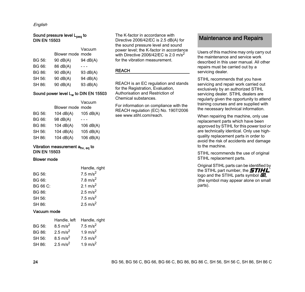English

## Sound pressure level L<sub>peq</sub> to DIN EN 15503

|          | Vacuum           |
|----------|------------------|
|          |                  |
| 90 dB(A) | 94 dB(A)         |
| 86 dB(A) |                  |
| 90 dB(A) | 93 dB(A)         |
| 90 dB(A) | 94 dB(A)         |
| 90 dB(A) | 93 dB(A)         |
|          | Blower mode mode |

## Sound power level Lw to DIN EN 15503

|        |                  | Vacuum      |
|--------|------------------|-------------|
|        | Blower mode mode |             |
| BG 56: | 104 dB(A)        | 105 dB(A)   |
| BG 66: | 98 dB(A)         |             |
| BG 86: | 104 dB(A)        | 106 dB(A)   |
| SH 56: | 104 dB(A)        | 105 dB(A)   |
| SH 86: | 104 dB(A)        | $106$ dB(A) |

### Vibration measurement ahv, eq to DIN EN 15503

#### Blower mode

|          | Handle, right        |
|----------|----------------------|
| BG 56:   | $7.5 \text{ m/s}^2$  |
| BG 66:   | 7.8 m/s <sup>2</sup> |
| BG 66 C: | 2.1 $m/s^2$          |
| BG 86:   | 2.5 $m/s^2$          |
| SH 56:   | $7.5 \text{ m/s}^2$  |
| SH 86:   | 2.5 m/s <sup>2</sup> |
|          |                      |

#### Vacuum mode

|        | Handle, left         | Handle, right       |
|--------|----------------------|---------------------|
| BG 56: | $8.5 \text{ m/s}^2$  | $7.5 \text{ m/s}^2$ |
| BG 86: | 2.5 m/s <sup>2</sup> | 1.9 $m/s^2$         |
| SH 56: | $8.5 \text{ m/s}^2$  | $7.5 \text{ m/s}^2$ |
| SH 86: | 2.5 m/s <sup>2</sup> | 1.9 $m/s^2$         |
|        |                      |                     |

The K-factor in accordance with Directive 2006/42/EC is 2.5 dB(A) for the sound pressure level and sound power level; the K-factor in accordance with Directive 2006/42/EC is 2.0 m/s<sup>2</sup> for the vibration measurement.

### REACH

REACH is an EC regulation and stands for the Registration, Evaluation, Authorisation and Restriction of Chemical substances.

For information on compliance with the REACH regulation (EC) No. 1907/2006 see www.stihl.com/reach.

## <span id="page-25-0"></span>Maintenance and Repairs

Users of this machine may only carry out the maintenance and service work described in this user manual. All other repairs must be carried out by a servicing dealer.

STIHL recommends that you have servicing and repair work carried out exclusively by an authorized STIHL servicing dealer. STIHL dealers are regularly given the opportunity to attend training courses and are supplied with the necessary technical information.

When repairing the machine, only use replacement parts which have been approved by STIHL for this power tool or are technically identical. Only use highquality replacement parts in order to avoid the risk of accidents and damage to the machine.

STIHL recommends the use of original STIHL replacement parts.

Original STIHL parts can be identified by the STIHL part number, the  $\bm{STHH}$ logo and the STIHL parts symbol  $E_{\!\scriptscriptstyle\odot}$ (the symbol may appear alone on small parts).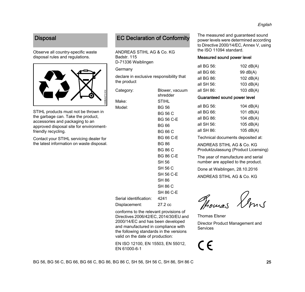## <span id="page-26-0"></span>**Disposal**

Observe all country-specific waste disposal rules and regulations.



STIHL products must not be thrown in the garbage can. Take the product, accessories and packaging to an approved disposal site for environmentfriendly recycling.

Contact your STIHL servicing dealer for the latest information on waste disposal.

## <span id="page-26-1"></span>EC Declaration of Conformity

ANDREAS STIHL AG & Co. KG Badstr. 115 D-71336 Waiblingen

**Germany** 

declare in exclusive responsibility that the product

| Category:                   | Blower, vacuum<br>shredder |
|-----------------------------|----------------------------|
| Make:                       | <b>STIHL</b>               |
| Model:                      | <b>BG 56</b>               |
|                             | BG 56 C                    |
|                             | <b>BG 56 C-E</b>           |
|                             | <b>BG 66</b>               |
|                             | <b>BG 66 C</b>             |
|                             | <b>BG 66 C-E</b>           |
|                             | <b>BG 86</b>               |
|                             | <b>BG 86 C</b>             |
|                             | <b>BG 86 C-E</b>           |
|                             | SH 56                      |
|                             | SH 56 C                    |
|                             | SH 56 C-E                  |
|                             | SH 86                      |
|                             | SH 86 C                    |
|                             | SH 86 C-E                  |
| Serial identification: 4241 |                            |
| Displacement:               | 27.2 cc                    |
|                             |                            |

conforms to the relevant provisions of Directives 2006/42/EC, 2014/30/EU and 2000/14/EC and has been developed and manufactured in compliance with the following standards in the versions valid on the date of production:

EN ISO 12100, EN 15503, EN 55012, EN 61000-6-1

The measured and guaranteed sound power levels were determined according to Directive 2000/14/EC, Annex V, using the ISO 11094 standard.

## Measured sound power level

| all BG 56: | 102 $dB(A)$ |
|------------|-------------|
| all BG 66: | 99 dB(A)    |
| all BG 86: | 102 $dB(A)$ |
| all SH 56: | 103 $dB(A)$ |
| all SH 86: | 103 $dB(A)$ |
|            |             |

## Guaranteed sound power level

| all BG 56:                        | 104 $dB(A)$ |
|-----------------------------------|-------------|
| all BG $66$ :                     | 101 $dB(A)$ |
| all BG $86$ :                     | 104 $dB(A)$ |
| all SH 56:                        | $105$ dB(A) |
| all $SH 86$ :                     | $105$ dB(A) |
| Technical documents deposited at: |             |

ANDREAS STIHL AG & Co. KG Produktzulassung (Product Licensing)

The year of manufacture and serial number are applied to the product.

Done at Waiblingen, 28.10.2016

ANDREAS STIHL AG & Co. KG

Thomas Lows

Thomas Elsner

Director Product Management and Services

# CE